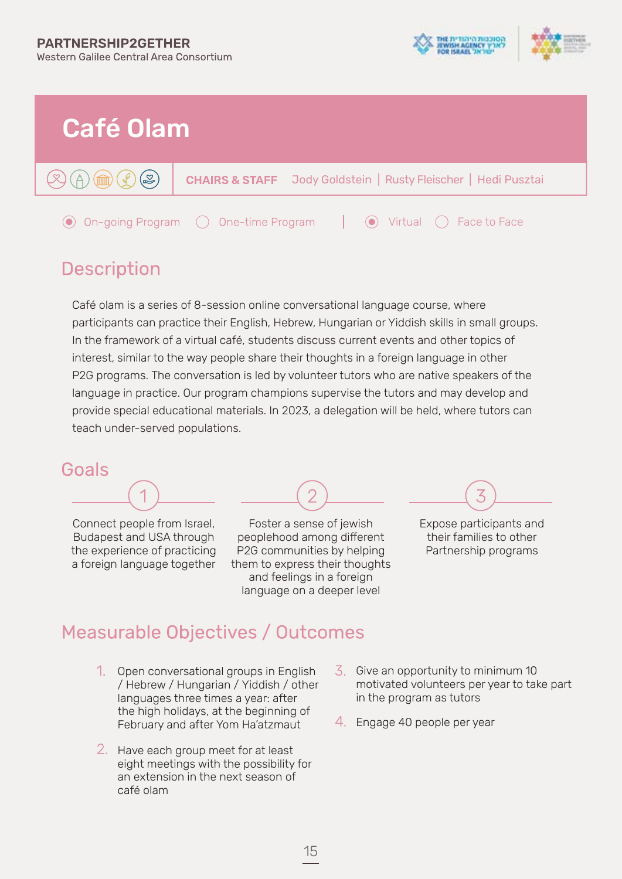



### **Description**

Café olam is a series of 8-session online conversational language course, where participants can practice their English, Hebrew, Hungarian or Yiddish skills in small groups. In the framework of a virtual café, students discuss current events and other topics of interest, similar to the way people share their thoughts in a foreign language in other P2G programs. The conversation is led by volunteer tutors who are native speakers of the language in practice. Our program champions supervise the tutors and may develop and provide special educational materials. In 2023, a delegation will be held, where tutors can teach under-served populations.

#### Goals

Connect people from Israel, Budapest and USA through the experience of practicing a foreign language together



Foster a sense of jewish peoplehood among different P2G communities by helping them to express their thoughts and feelings in a foreign language on a deeper level



their families to other Partnership programs

### **Measurable Objectives / Outcomes**

- 1. Open conversational groups in English / Hebrew / Hungarian / Yiddish / other languages three times a year: after the high holidays, at the beginning of February and after Yom Ha'atzmaut  $\frac{4}{1}$  Engage 40 people per year
- 2. Have each group meet for at least eight meetings with the possibility for an extension in the next season of café olam
- Give an opportunity to minimum 10 motivated volunteers per year to take part in the program as tutors
-